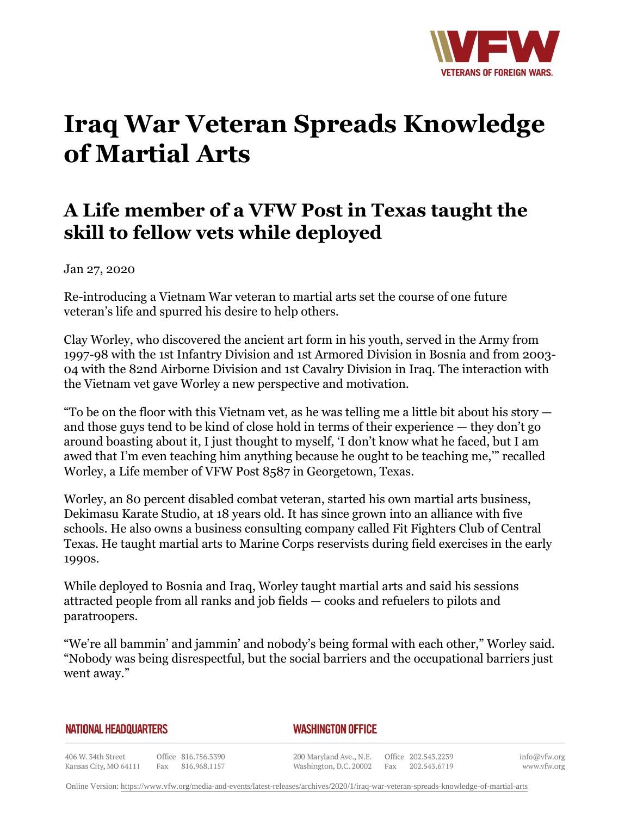

# **Iraq War Veteran Spreads Knowledge of Martial Arts**

# **A Life member of a VFW Post in Texas taught the skill to fellow vets while deployed**

Jan 27, 2020

Re-introducing a Vietnam War veteran to martial arts set the course of one future veteran's life and spurred his desire to help others.

Clay Worley, who discovered the ancient art form in his youth, served in the Army from 1997-98 with the 1st Infantry Division and 1st Armored Division in Bosnia and from 2003- 04 with the 82nd Airborne Division and 1st Cavalry Division in Iraq. The interaction with the Vietnam vet gave Worley a new perspective and motivation.

"To be on the floor with this Vietnam vet, as he was telling me a little bit about his story  $$ and those guys tend to be kind of close hold in terms of their experience — they don't go around boasting about it, I just thought to myself, 'I don't know what he faced, but I am awed that I'm even teaching him anything because he ought to be teaching me,'" recalled Worley, a Life member of VFW Post 8587 in Georgetown, Texas.

Worley, an 80 percent disabled combat veteran, started his own martial arts business, Dekimasu Karate Studio, at 18 years old. It has since grown into an alliance with five schools. He also owns a business consulting company called Fit Fighters Club of Central Texas. He taught martial arts to Marine Corps reservists during field exercises in the early 1990s.

While deployed to Bosnia and Iraq, Worley taught martial arts and said his sessions attracted people from all ranks and job fields — cooks and refuelers to pilots and paratroopers.

"We're all bammin' and jammin' and nobody's being formal with each other," Worley said. "Nobody was being disrespectful, but the social barriers and the occupational barriers just went away."

#### **NATIONAL HEADQUARTERS**

#### *WASHINGTON OFFICE*

406 W. 34th Street Office 816.756.3390 Fax 816.968.1157 Kansas City, MO 64111

200 Maryland Ave., N.E. Washington, D.C. 20002

Office 202.543.2239 Fax 202.543.6719 info@vfw.org www.vfw.org

Online Version:<https://www.vfw.org/media-and-events/latest-releases/archives/2020/1/iraq-war-veteran-spreads-knowledge-of-martial-arts>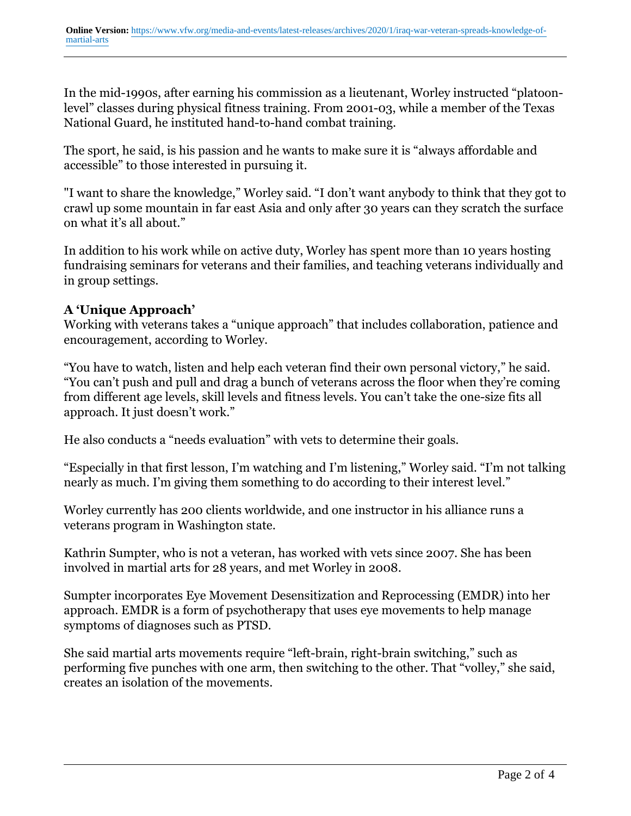In the mid-1990s, after earning his commission as a lieutenant, Worley instructed "platoonlevel" classes during physical fitness training. From 2001-03, while a member of the Texas National Guard, he instituted hand-to-hand combat training.

The sport, he said, is his passion and he wants to make sure it is "always affordable and accessible" to those interested in pursuing it.

"I want to share the knowledge," Worley said. "I don't want anybody to think that they got to crawl up some mountain in far east Asia and only after 30 years can they scratch the surface on what it's all about."

In addition to his work while on active duty, Worley has spent more than 10 years hosting fundraising seminars for veterans and their families, and teaching veterans individually and in group settings.

## **A 'Unique Approach'**

Working with veterans takes a "unique approach" that includes collaboration, patience and encouragement, according to Worley.

"You have to watch, listen and help each veteran find their own personal victory," he said. "You can't push and pull and drag a bunch of veterans across the floor when they're coming from different age levels, skill levels and fitness levels. You can't take the one-size fits all approach. It just doesn't work."

He also conducts a "needs evaluation" with vets to determine their goals.

"Especially in that first lesson, I'm watching and I'm listening," Worley said. "I'm not talking nearly as much. I'm giving them something to do according to their interest level."

Worley currently has 200 clients worldwide, and one instructor in his alliance runs a veterans program in Washington state.

Kathrin Sumpter, who is not a veteran, has worked with vets since 2007. She has been involved in martial arts for 28 years, and met Worley in 2008.

Sumpter incorporates Eye Movement Desensitization and Reprocessing (EMDR) into her approach. EMDR is a form of psychotherapy that uses eye movements to help manage symptoms of diagnoses such as PTSD.

She said martial arts movements require "left-brain, right-brain switching," such as performing five punches with one arm, then switching to the other. That "volley," she said, creates an isolation of the movements.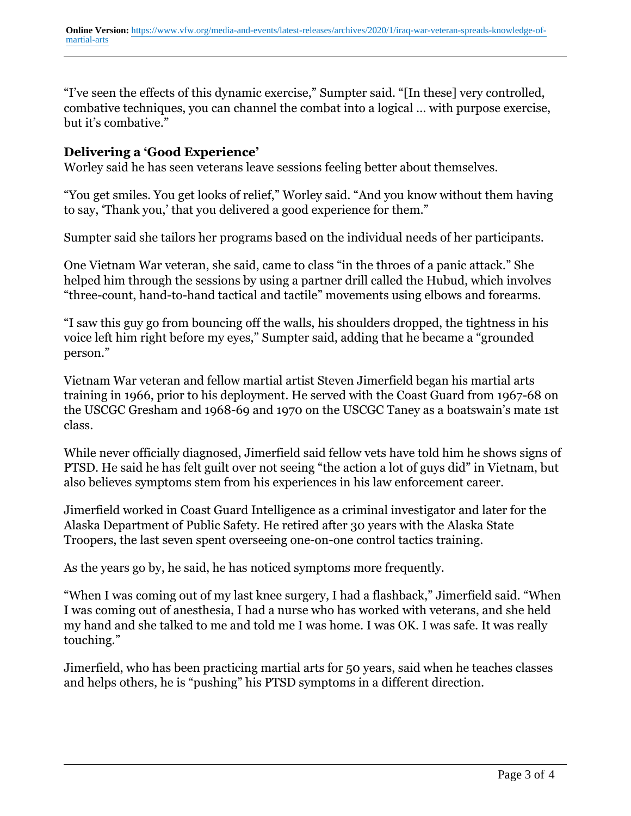"I've seen the effects of this dynamic exercise," Sumpter said. "[In these] very controlled, combative techniques, you can channel the combat into a logical … with purpose exercise, but it's combative."

### **Delivering a 'Good Experience'**

Worley said he has seen veterans leave sessions feeling better about themselves.

"You get smiles. You get looks of relief," Worley said. "And you know without them having to say, 'Thank you,' that you delivered a good experience for them."

Sumpter said she tailors her programs based on the individual needs of her participants.

One Vietnam War veteran, she said, came to class "in the throes of a panic attack." She helped him through the sessions by using a partner drill called the Hubud, which involves "three-count, hand-to-hand tactical and tactile" movements using elbows and forearms.

"I saw this guy go from bouncing off the walls, his shoulders dropped, the tightness in his voice left him right before my eyes," Sumpter said, adding that he became a "grounded person."

Vietnam War veteran and fellow martial artist Steven Jimerfield began his martial arts training in 1966, prior to his deployment. He served with the Coast Guard from 1967-68 on the USCGC Gresham and 1968-69 and 1970 on the USCGC Taney as a boatswain's mate 1st class.

While never officially diagnosed, Jimerfield said fellow vets have told him he shows signs of PTSD. He said he has felt guilt over not seeing "the action a lot of guys did" in Vietnam, but also believes symptoms stem from his experiences in his law enforcement career.

Jimerfield worked in Coast Guard Intelligence as a criminal investigator and later for the Alaska Department of Public Safety. He retired after 30 years with the Alaska State Troopers, the last seven spent overseeing one-on-one control tactics training.

As the years go by, he said, he has noticed symptoms more frequently.

"When I was coming out of my last knee surgery, I had a flashback," Jimerfield said. "When I was coming out of anesthesia, I had a nurse who has worked with veterans, and she held my hand and she talked to me and told me I was home. I was OK. I was safe. It was really touching."

Jimerfield, who has been practicing martial arts for 50 years, said when he teaches classes and helps others, he is "pushing" his PTSD symptoms in a different direction.